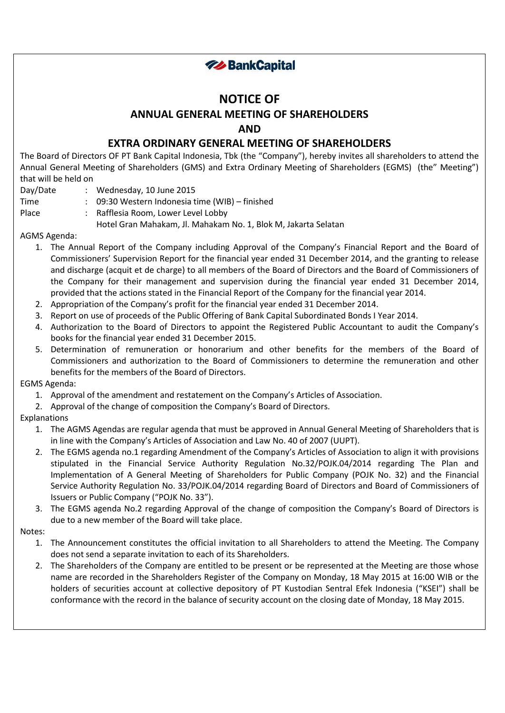

# **NOTICE OF ANNUAL GENERAL MEETING OF SHAREHOLDERS AND**

## **EXTRA ORDINARY GENERAL MEETING OF SHAREHOLDERS**

The Board of Directors OF PT Bank Capital Indonesia, Tbk (the "Company"), hereby invites all shareholders to attend the Annual General Meeting of Shareholders (GMS) and Extra Ordinary Meeting of Shareholders (EGMS) (the" Meeting") that will be held on

- Day/Date : Wednesday, 10 June 2015
- Time : 09:30 Western Indonesia time (WIB) finished

Place : Rafflesia Room, Lower Level Lobby

Hotel Gran Mahakam, Jl. Mahakam No. 1, Blok M, Jakarta Selatan

### AGMS Agenda:

- 1. The Annual Report of the Company including Approval of the Company's Financial Report and the Board of Commissioners' Supervision Report for the financial year ended 31 December 2014, and the granting to release and discharge (acquit et de charge) to all members of the Board of Directors and the Board of Commissioners of the Company for their management and supervision during the financial year ended 31 December 2014, provided that the actions stated in the Financial Report of the Company for the financial year 2014.
- 2. Appropriation of the Company's profit for the financial year ended 31 December 2014.
- 3. Report on use of proceeds of the Public Offering of Bank Capital Subordinated Bonds I Year 2014.
- 4. Authorization to the Board of Directors to appoint the Registered Public Accountant to audit the Company's books for the financial year ended 31 December 2015.
- 5. Determination of remuneration or honorarium and other benefits for the members of the Board of Commissioners and authorization to the Board of Commissioners to determine the remuneration and other benefits for the members of the Board of Directors.

### EGMS Agenda:

- 1. Approval of the amendment and restatement on the Company's Articles of Association.
- 2. Approval of the change of composition the Company's Board of Directors.

### Explanations

- 1. The AGMS Agendas are regular agenda that must be approved in Annual General Meeting of Shareholders that is in line with the Company's Articles of Association and Law No. 40 of 2007 (UUPT).
- 2. The EGMS agenda no.1 regarding Amendment of the Company's Articles of Association to align it with provisions stipulated in the Financial Service Authority Regulation No.32/POJK.04/2014 regarding The Plan and Implementation of A General Meeting of Shareholders for Public Company (POJK No. 32) and the Financial Service Authority Regulation No. 33/POJK.04/2014 regarding Board of Directors and Board of Commissioners of Issuers or Public Company ("POJK No. 33").
- 3. The EGMS agenda No.2 regarding Approval of the change of composition the Company's Board of Directors is due to a new member of the Board will take place.

#### Notes:

- 1. The Announcement constitutes the official invitation to all Shareholders to attend the Meeting. The Company does not send a separate invitation to each of its Shareholders.
- 2. The Shareholders of the Company are entitled to be present or be represented at the Meeting are those whose name are recorded in the Shareholders Register of the Company on Monday, 18 May 2015 at 16:00 WIB or the holders of securities account at collective depository of PT Kustodian Sentral Efek Indonesia ("KSEI") shall be conformance with the record in the balance of security account on the closing date of Monday, 18 May 2015.